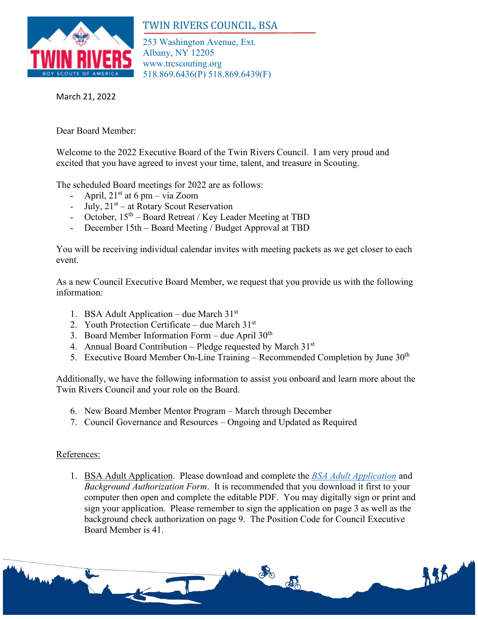

## TWIN RIVERS COUNCIL, BSA

253 Washington Avenue, Ext. Albany, NY 12205 www.trcscouting.org 518.869.6436(P) 518.869.6439(F)

March 21, 2022

Dear Board Member:

Welcome to the 2022 Executive Board of the Twin Rivers Council. I am very proud and excited that you have agreed to invest your time, talent, and treasure in Scouting.

The scheduled Board meetings for 2022 are as follows:

- April,  $21<sup>st</sup>$  at 6 pm via Zoom
- July,  $21<sup>st</sup>$  at Rotary Scout Reservation
- October,  $15<sup>th</sup>$  Board Retreat / Key Leader Meeting at TBD
- December 15th Board Meeting / Budget Approval at TBD

You will be receiving individual calendar invites with meeting packets as we get closer to each event.

As a new Council Executive Board Member, we request that you provide us with the following information:

- 1. BSA Adult Application due March  $31<sup>st</sup>$
- 2. Youth Protection Certificate due March  $31<sup>st</sup>$
- 3. Board Member Information Form due April  $30<sup>th</sup>$
- 4. Annual Board Contribution Pledge requested by March 31st
- 5. Executive Board Member On-Line Training Recommended Completion by June  $30<sup>th</sup>$

Additionally, we have the following information to assist you onboard and learn more about the Twin Rivers Council and your role on the Board.

- 6. New Board Member Mentor Program March through December
- 7. Council Governance and Resources Ongoing and Updated as Required

## References:

1. BSA Adult Application. Please download and complete the *[BSA Adult Application](https://filestore.scouting.org/filestore/pdf/524-501.pdf)* and *Background Authorization Form*. It is recommended that you download it first to your computer then open and complete the editable PDF. You may digitally sign or print and sign your application. Please remember to sign the application on page 3 as well as the background check authorization on page 9. The Position Code for Council Executive Board Member is 41.

del

新花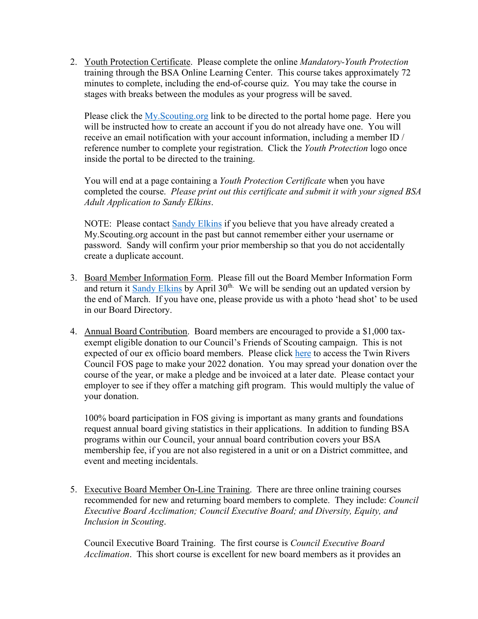2. Youth Protection Certificate. Please complete the online *Mandatory-Youth Protection* training through the BSA Online Learning Center. This course takes approximately 72 minutes to complete, including the end-of-course quiz. You may take the course in stages with breaks between the modules as your progress will be saved.

Please click the [My.Scouting.org](https://my.scouting.org/) link to be directed to the portal home page. Here you will be instructed how to create an account if you do not already have one. You will receive an email notification with your account information, including a member ID / reference number to complete your registration. Click the *Youth Protection* logo once inside the portal to be directed to the training.

You will end at a page containing a *Youth Protection Certificate* when you have completed the course. *Please print out this certificate and submit it with your signed BSA Adult Application to Sandy Elkins*.

NOTE: Please contact [Sandy Elkins](mailto:%09sandy.elkins@scouting.org) if you believe that you have already created a My.Scouting.org account in the past but cannot remember either your username or password. Sandy will confirm your prior membership so that you do not accidentally create a duplicate account.

- 3. Board Member Information Form. Please fill out the Board Member Information Form and return it [Sandy](mailto:sandy.elkins@scouting.org) Elkins by April  $30<sup>th</sup>$ . We will be sending out an updated version by the end of March. If you have one, please provide us with a photo 'head shot' to be used in our Board Directory.
- 4. Annual Board Contribution. Board members are encouraged to provide a \$1,000 taxexempt eligible donation to our Council's Friends of Scouting campaign. This is not expected of our ex officio board members. Please click [here](https://donations.scouting.org/#/council/364/appeal/4178) to access the Twin Rivers Council FOS page to make your 2022 donation. You may spread your donation over the course of the year, or make a pledge and be invoiced at a later date. Please contact your employer to see if they offer a matching gift program. This would multiply the value of your donation.

100% board participation in FOS giving is important as many grants and foundations request annual board giving statistics in their applications. In addition to funding BSA programs within our Council, your annual board contribution covers your BSA membership fee, if you are not also registered in a unit or on a District committee, and event and meeting incidentals.

5. Executive Board Member On-Line Training. There are three online training courses recommended for new and returning board members to complete. They include: *Council Executive Board Acclimation; Council Executive Board; and Diversity, Equity, and Inclusion in Scouting*.

Council Executive Board Training. The first course is *Council Executive Board Acclimation*. This short course is excellent for new board members as it provides an